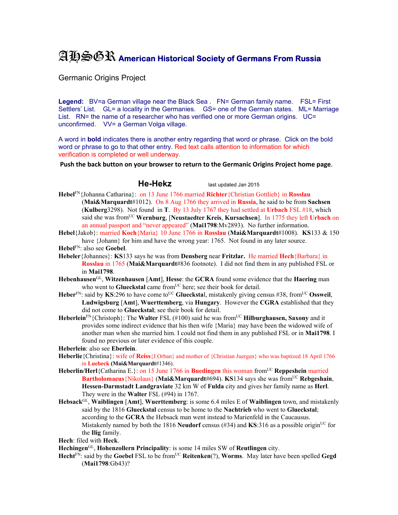## AHSGR **American Historical Society of Germans From Russia**

Germanic Origins Project

Legend: BV=a German village near the Black Sea . FN= German family name. FSL= First Settlers' List. GL= a locality in the Germanies. GS= one of the German states. ML= Marriage List. RN= the name of a researcher who has verified one or more German origins. UC= unconfirmed. VV= a German Volga village.

A word in **bold** indicates there is another entry regarding that word or phrase. Click on the bold word or phrase to go to that other entry. Red text calls attention to information for which verification is completed or well underway.

**Push the back button on your browser to return to the Germanic Origins Project home page**.

**He-Hekz** last updated Jan 2015

**Hebel**FN{Johanna Catharina}: on 13 June 1766 married **Richter**{Christian Gottlieb} in **Rosslau** (**Mai&Marquardt**#1012). On 8 Aug 1766 they arrived in **Russia**, he said to be from **Sachsen** (**Kulberg**3298). Not found in **T**. By 13 July 1767 they had settled at **Urbach** FSL #18, which said she was fromUC **Wernburg**, [**Neustaedter Kreis**, **Kursachsen**]. In 1775 they left **Urbach** on an annual passport and "never appeared" (**Mai1798**:Mv2893). No further information.

**Hebel**{Jakob}: married **Koch**{Maria} 10 June 1766 in **Rosslau** (**Mai&Marquardt**#1008). **KS**133 & 150 have {Johann} for him and have the wrong year: 1765. Not found in any later source.

**Hebel**FN: also see **Goebel**.

**Hebeler**{Johannes}: **KS**133 says he was from **Densberg** near **Fritzlar.** He married **Hech**{Barbara} in **Rosslau** in 1765 (**Mai&Marquardt**#836 footnote). I did not find them in any published FSL or in **Mai1798**.

- **Hebenhausen**GL, **Witzenhausen** [**Amt**], **Hesse**: the **GCRA** found some evidence that the **Haering** man who went to **Glueckstal** came from<sup>UC</sup> here; see their book for detail.
- **Heber**<sup>FN</sup>: said by **KS**:296 to have come to<sup>UC</sup> Glueckstal, mistakenly giving census #38, from<sup>UC</sup> Ossweil, **Ludwigsburg** [**Amt**], **Wuerttemberg**, via **Hungary**. However the **CGRA** established that they did not come to **Glueckstal**; see their book for detail.
- **Heberlein**<sup>FN</sup>{Christoph}: The **Walter** FSL (#100) said he was from<sup>UC</sup> **Hilburghausen, Saxony** and it provides some indirect evidence that his then wife {Maria} may have been the widowed wife of another man when she married him. I could not find them in any published FSL or in **Mai1798**. I found no previous or later evidence of this couple.

**Heberlein**: also see **Eberlein**.

- **Heberlie**{Christina}: wife of **Reiss**{J.Orban} and mother of {Christian Juergen} who was baptized 18 April 1766 in **Luebeck (Mai&Marquardt**#1346).
- **Heberlin/Herl**{Catharina E.}: on 15 June 1766 in **Buedingen** this woman from<sup>UC</sup> Reppeshein married **Bartholomaeus** {Nikolaus} (Mai&Marquardt#694). **KS**134 says she was from<sup>UC</sup> **Rebgeshain**, **Hessen-Darmstadt Landgraviate** 32 km W of **Fulda** city and gives her family name as **Herl**. They were in the **Walter** FSL (#94) in 1767.
- **Hebsack**GL, **Waiblingen** [**Amt**], **Wuerttemberg**: is some 6.4 miles E of **Waiblingen** town, and mistakenly said by the 1816 **Glueckstal** census to be home to the **Nachtrieb** who went to **Glueckstal**; according to the **GCRA** the Hebsack man went instead to Marienfeld in the Caucausus. Mistakenly named by both the 1816 **Neudorf** census (#34) and **KS**:316 as a possible origin<sup>UC</sup> for the **Ilig** family.

**Hech**: filed with **Heck**.

**Hechingen**GL, **Hohenzollern Principality**: is some 14 miles SW of **Reutlingen** city.

**Hecht**FN: said by the **Goebel** FSL to be fromUC **Reitenken**(?), **Worms**. May later have been spelled **Gegd** (**Mai1798**:Gb43)?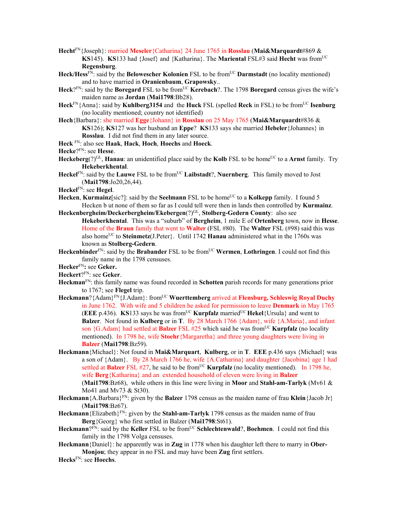**Hecht**FN{Joseph}: married **Meseler**{Catharina} 24 June 1765 in **Rosslau** (**Mai&Marquardt**#869 & **KS**145). **KS**133 had {Josef} and {Katharina}. The **Mariental** FSL#3 said **Hecht** was from<sup>UC</sup> **Regensburg**.

- Heck/Hess<sup>FN</sup>: said by the **Belowescher Kolonien** FSL to be from<sup>UC</sup> **Darmstadt** (no locality mentioned) and to have married in **Oranienbaum**, **Grapowsky**..
- Heck?<sup>FN</sup>: said by the Boregard FSL to be from<sup>UC</sup> Kerebach?. The 1798 Boregard census gives the wife's maiden name as **Jordan** (**Mai1798**:Bb28).
- **Heck**FN{Anna}: said by **Kuhlberg3154** and the **Huck** FSL (spelled **Reck** in FSL) to be fromUC **Isenburg** (no locality mentioned; country not identified)
- **Hech**{Barbara}: she married **Egge**{Johann} in **Rosslau** on 25 May 1765 (**Mai&Marquardt**#836 & **KS**126); **KS**127 was her husband an **Eppe**? **KS**133 says she married **Hebeler**{Johannes} in **Rosslau**. I did not find them in any later source.
- **Heck** FN: also see **Haak**, **Hack**, **Hoch**, **Hoechs** and **Hoeck**.

**Hecke**?FN: see **Hesse**.

- **Heckeberg**(?)<sup>GL</sup>, **Hanau**: an unidentified place said by the **Kolb** FSL to be home<sup>UC</sup> to a **Arnst** family. Try **Hekeberkhental**.
- Heckel<sup>FN</sup>: said by the **Lauwe** FSL to be from<sup>UC</sup> **Laibstadt**?, **Nuernberg**. This family moved to Jost (**Mai1798**:Jo20,26,44).
- **Heckel**FN: see **Hegel**.
- **Hecken, Kurmainz**[sic?]: said by the **Seelmann** FSL to be home<sup>UC</sup> to a **Kolkepp** family. I found 5 Hecken b ut none of them so far as I could tell were then in lands then controlled by **Kurmainz**.
- **Heckenbergheim/Deckerbergheim/Ekebergen**(?)GL, **Stolberg-Gedern County**: also see **Hekeberkhental**. This was a "suburb" of **Bergheim**, 1 mile E of **Ortenberg** town, now in **Hesse**. Home of the **Braun** family that went to **Walter** (FSL #80). The **Walter** FSL (#98) said this was also home<sup>UC</sup> to **Steinmetz**(J.Peter}. Until 1742 **Hanau** administered what in the 1760s was known as **Stolberg-Gedern**.
- **Heckenbinder**<sup>FN</sup>: said by the **Brabander** FSL to be from<sup>UC</sup> Wermen, Lothringen. I could not find this family name in the 1798 censuses.
- **Hecker**FN**:** see **Geker.**

**Heckert**?FN: see **Geker**.

- **Heckman**FN: this family name was found recorded in **Schotten** parish records for many generations prior to 1767; see **Flegel** trip.
- **Heckmann**?{Adam}FN{J.Adam}: fromUC **Wuerttemberg** arrived at **Flensburg, Schleswig Royal Duchy** in June 1762. With wife and 5 children he asked for permission to leave **Denmark** in May 1765 (**EEE** p.436). **KS**133 says he was from<sup>UC</sup> **Kurpfalz** married<sup>UC</sup> **Hekel**{Ursula} and went to **Balzer**. Not found in **Kulberg** or in **T**. By 28 March 1766 {Adam}, wife {A.Maria}, and infant son {G.Adam} had settled at **Balzer** FSL #25 which said he was from<sup>UC</sup> **Kurpfalz** (no locality mentioned). In 1798 he, wife **Stoehr**{Margaretha} and three young daughters were living in **Balzer** (**Mai1798**:Bz59).
- **Heckmann**{Michael}: Not found in **Mai&Marquart**, **Kulberg**, or in **T**. **EEE** p.436 says {Michael} was a son of {Adam}. By 28 March 1766 he, wife {A.Catharina} and daughter {Jacobina} age 1 had settled at **Balzer** FSL #27, he said to be from<sup>UC</sup> **Kurpfalz** (no locality mentioned). In 1798 he, wife **Berg**{Katharina} and an extended household of eleven were living in **Balzer**  (**Mai1798**:Bz68), while others in this line were living in **Moor** and **Stahl-am-Tarlyk** (Mv61 & Mo41 and Mv73 & St30).
- **Heckmann**{A.Barbara}FN: given by the **Balzer** 1798 census as the maiden name of frau **Klein**{Jacob Jr} (**Mai1798**:Bz67).
- **Heckmann**{Elizabeth}FN: given by the **Stahl-am-Tarlyk** 1798 census as the maiden name of frau **Berg**{Georg} who first settled in Balzer (**Mai1798**:St61).
- Heckmann?<sup>FN</sup>: said by the Keller FSL to be from<sup>UC</sup> Schlechtenwald?, Boehmen. I could not find this family in the 1798 Volga censuses.
- **Heckmann**{Daniel}: he apparently was in **Zug** in 1778 when his daughter left there to marry in **Ober-Monjou**; they appear in no FSL and may have been **Zug** first settlers.
- **Hecks**FN: see **Hoechs**.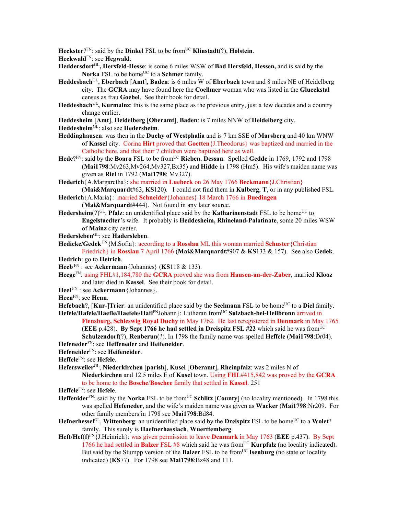**Heckster**? $F_N$ : said by the **Dinkel** FSL to be from<sup>UC</sup> **Klinstadt**(?), **Holstein**.

**Heckwald**FN: see **Hegwald**.

- **Heddersdorf**GL**, Hersfeld-Hesse**: is some 6 miles WSW of **Bad Hersfeld, Hessen,** and is said by the **Norka** FSL to be home<sup>UC</sup> to a **Schmer** family.
- **Heddesbach**GL, **Eberbach** [**Amt**], **Baden**: is 6 miles W of **Eberbach** town and 8 miles NE of Heidelberg city. The **GCRA** may have found here the **Coellmer** woman who was listed in the **Glueckstal** census as frau **Goebel**. See their book for detail.
- **Heddesbach**GL**, Kurmainz**: this is the same place as the previous entry, just a few decades and a country change earlier.
- **Heddesheim** [**Amt**], **Heidelberg** [**Oberamt**], **Baden**: is 7 miles NNW of **Heidelberg** city.
- **Heddesheim**GL: also see **Hedersheim**.
- **Heddinghausen**: was then in the **Duchy of Westphalia** and is 7 km SSE of **Marsberg** and 40 km WNW of **Kassel** city. Corina **Hirt** proved that **Goetten**{J.Theodorus} was baptized and married in the Catholic here, and that their 7 children were baptized here as well.
- Hede?FN: said by the Boaro FSL to be from<sup>UC</sup> Rieben, Dessau. Spelled Gedde in 1769, 1792 and 1798 (**Mai1798**:Mv263,Mv264,Mv327,Bx35) and **Hidde** in 1798 (Hm5). His wife's maiden name was given as **Riel** in 1792 (**Mai1798**: Mv327).
- **Hederich**{A.Margaretha}: she married in **Luebeck** on 26 May 1766 **Beckmann**{J.Christian} (**Mai&Marquardt**#63, **KS**120). I could not find them in **Kulberg**, **T**, or in any published FSL.
- **Hederich**{A.Maria}: married **Schneider**{Johannes} 18 March 1766 in **Buedingen**
	- (**Mai&Marquardt**#444). Not found in any later source.
- **Hedersheim**(?)<sup>GL</sup>, **Pfalz**: an unidentified place said by the **Katharinenstadt** FSL to be home<sup>UC</sup> to **Engelstaedter**'s wife. It probably is **Heddesheim, Rhineland-Palatinate**, some 20 miles WSW of **Mainz** city center.
- **Hedersleben**GL: see **Hadersleben**.
- **Hedicke/Gedek** FN{M.Sofia}: according to a **Rosslau** ML this woman married **Schuster**{Christian Friedrich} in **Rosslau** 7 April 1766 (**Mai&Marquardt**#907 & **KS**133 & 157). See also **Gedek**.
- **Hedrich**: go to **Hetrich**.
- **Heeb** FN : see **Ackermann**{Johannes} (**KS**118 & 133).
- **Heege**FN: using FHL#1,184,780 the **GCRA** proved she was from **Hausen-an-der-Zaber**, married **Klooz** and later died in **Kassel**. See their book for detail.
- **Heel** FN : see **Ackermann**{Johannes}.
- **Heen**FN: see **Henn**.
- **Hefebach**?, [**Kur**-]Trier: an unidentified place said by the **Seelmann** FSL to be home<sup>UC</sup> to a **Diel** family.
- **Hefele/Hafele/Haefle/Haefele/Hafl**FNJohann}: Lutheran fromUC **Sulzbach-bei-Heilbronn** arrived in **Flensburg, Schleswig Royal Duchy** in May 1762. He last reregistered in **Denmark** in May 1765 **(EEE p.428).** By Sept 1766 he had settled in Dreispitz FSL  $#22$  which said he was from<sup>UC</sup> **Schulzendorf**(?), **Renberun**(?). In 1798 the family name was spelled **Heffele** (**Mai1798**:Dr04). **Hefeneder**FN: see **Heffeneder** and **Heifeneider**.
- **Hefeneider**FN: see **Heifeneider**.
- 
- **Heffele**FN: see **Hefele**.
- **Hefersweiler**GL, **Niederkirchen** [**parish**], **Kusel** [**Oberamt**], **Rheinpfalz**: was 2 miles N of **Niederkirchen** and 12.5 miles E of **Kusel** town. Using **FHL**#415,842 was proved by the **GCRA** to be home to the **Bosche**/**Boschee** family that settled in **Kassel**. 251
- **Heffele**FN: see **Hefele**.
- **Heffenider**<sup>FN</sup>: said by the **Norka** FSL to be from<sup>UC</sup> **Schlitz** [County] (no locality mentioned). In 1798 this was spelled **Hefeneder**, and the wife's maiden name was given as **Wacker** (**Mai1798**:Nr209. For other family members in 1798 see **Mai1798**:Bd84.
- Hefnerhessel<sup>GL</sup>, Wittenberg: an unidentified place said by the **Dreispitz** FSL to be home<sup>UC</sup> to a Wolet? family. This surely is **Haefnerhasslach**, **Wuerttemberg**.
- Heft/Hef(f)<sup>FN</sup>{J.Heinrich}: was given permission to leave **Denmark** in May 1763 (EEE p.437). By Sept 1766 he had settled in **Balzer** FSL  $#8$  which said he was from<sup>UC</sup> **Kurpfalz** (no locality indicated). But said by the Stumpp version of the **Balzer** FSL to be from<sup>UC</sup> **Isenburg** (no state or locality indicated) (**KS**77). For 1798 see **Mai1798**:Bz48 and 111.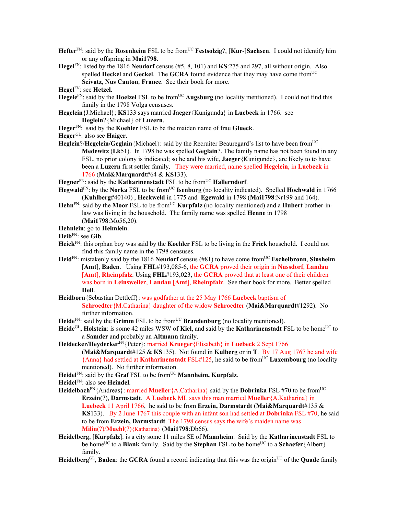- **Hefter**<sup>FN</sup>: said by the **Rosenheim** FSL to be from<sup>UC</sup> **Festsolzig**?, [**Kur-**]Sachsen. I could not identify him or any offspring in **Mai1798**.
- **Hegel**FN: listed by the 1816 **Neudorf** census (#5, 8, 101) and **KS**:275 and 297, all without origin. Also spelled **Heckel** and **Geckel**. The **GCRA** found evidence that they may have come from<sup>UC</sup> **Seivatz**, **Nus Canton**, **France**. See their book for more.
- **Hegel**FN: see **Hetzel**.
- **Hegele**<sup>FN</sup>: said by the **Hoelzel** FSL to be from<sup>UC</sup> **Augsburg** (no locality mentioned). I could not find this family in the 1798 Volga censuses.
- **Hegelein**{J.Michael}; **KS**133 says married **Jaeger**{Kunigunda} in **Luebeck** in 1766. see **Heglein**?{Michael} of **Luzern**.
- **Heger**FN: said by the **Koehler** FSL to be the maiden name of frau **Glueck**.
- **Heger**GL: also see **Haiger**.
- **Heglein**?/**Hegelein/Geglain** {Michael}: said by the Recruiter Beauregard's list to have been from<sup>UC</sup> **Medewitz** (**Lk**51). In 1798 he was spelled **Geglain**?. The family name has not been found in any FSL, no prior colony is indicated; so he and his wife, **Jaeger**{Kunigunde}, are likely to to have been a **Luzern** first settler family. They were married, name spelled **Hegelein**, in **Luebeck** in 1766 (**Mai&Marquardt**#64 & **KS**133).
- **Hegner**<sup>FN</sup>: said by the **Katharinenstadt** FSL to be from<sup>UC</sup> **Hallerndorf**.
- Hegwald<sup>FN</sup>: by the **Norka** FSL to be from<sup>UC</sup> **Isenburg** (no locality indicated). Spelled **Hochwald** in 1766 (**Kuhlberg**#40140) , **Heckweld** in 1775 and **Egewald** in 1798 (**Mai1798**:Nr199 and 164).
- **Hehn**<sup>FN</sup>: said by the **Moor** FSL to be from<sup>UC</sup> **Kurpfalz** (no locality mentioned) and a **Hubert** brother-inlaw was living in the household. The family name was spelled **Henne** in 1798 (**Mai1798**:Mo56,20).
- **Hehnlein**: go to **Helmlein**.
- **Heib**FN: see **Gib**.
- **Heick**FN: this orphan boy was said by the **Koehler** FSL to be living in the **Frick** household. I could not find this family name in the 1798 censuses.
- **Heid**<sup>FN</sup>: mistakenly said by the 1816 **Neudorf** census (#81) to have come from<sup>UC</sup> **Eschelbronn**, **Sinsheim** [**Amt**], **Baden**. Using **FHL**#193,085-6, the **GCRA** proved their origin in **Nussdorf**, **Landau** [**Amt**], **Rheinpfalz**. Using **FHL**#193,023, the **GCRA** proved that at least one of their children was born in **Leinsweiler**, **Landau** [**Amt**], **Rheinpfalz**. See their book for more. Better spelled **Heil**.
- **Heidborn**{Sebastian Dettleff}: was godfather at the 25 May 1766 **Luebeck** baptism of **Schroedter**{M.Catharina} daughter of the widow **Schroedter** (**Mai&Marquardt**#1292). No further information.
- **Heide**<sup>FN</sup>: said by the **Grimm** FSL to be from<sup>UC</sup> **Brandenburg** (no locality mentioned).
- Heide<sup>GL</sup>, Holstein: is some 42 miles WSW of Kiel, and said by the Katharinenstadt FSL to be home<sup>UC</sup> to a **Samder** and probably an **Altmann** family.
- **Heidecker/Heydecker**FN{Peter}: married **Krueger**{Elisabeth} in **Luebeck** 2 Sept 1766 (**Mai&Marquardt**#125 & **KS**135). Not found in **Kulberg** or in **T**. By 17 Aug 1767 he and wife {Anna} had settled at **Katharinenstadt** FSL#125, he said to be fromUC **Luxembourg** (no locality mentioned). No further information.
- **Heidel**FN: said by the **Graf** FSL to be fromUC **Mannheim, Kurpfalz**.
- **Heidel**FN: also see **Heindel**.
- Heidelbach<sup>FN</sup>{Andreas}: married **Mueller**{A.Catharina} said by the **Dobrinka** FSL #70 to be from<sup>UC</sup> **Erzein**(?), **Darmstadt**. A **Luebeck** ML says this man married **Mueller**{A.Katharina} in **Luebeck** 11 April 1766, he said to be from **Erzein, Darmstardt** (**Mai&Marquardt**#135 & **KS**133). By 2 June 1767 this couple with an infant son had settled at **Dobrinka** FSL #70, he said to be from **Erzein, Darmstardt**. The 1798 census says the wife's maiden name was **Milin**(?)/**Muehl**(?){Katharina} (**Mai1798**:Db66).
- **Heidelberg**, [**Kurpfalz**]: is a city some 11 miles SE of **Mannheim**. Said by the **Katharinenstadt** FSL to be home<sup>UC</sup> to a **Blank** family. Said by the **Stephan** FSL to be home<sup>UC</sup> to a **Schaefer** {Albert} family.
- **Heidelberg**<sup>GL</sup>, **Baden**: the **GCRA** found a record indicating that this was the origin<sup>UC</sup> of the **Quade** family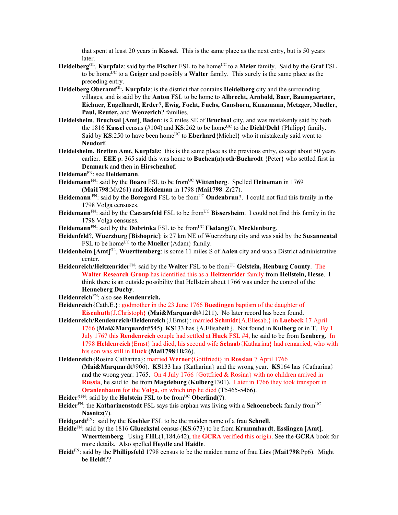that spent at least 20 years in **Kassel**. This is the same place as the next entry, but is 50 years later.

- **Heidelberg**GL, **Kurpfalz**: said by the **Fischer** FSL to be homeUC to a **Meier** family. Said by the **Graf** FSL to be homeUC to a **Geiger** and possibly a **Walter** family. This surely is the same place as the preceding entry.
- **Heidelberg Oberamt**GL**, Kurpfalz**: is the district that contains **Heidelberg** city and the surrounding villages, and is said by the **Anton** FSL to be home to **Albrecht, Arnhold, Baer, Baumgaertner, Eichner, Engelhardt, Erder**?**, Ewig, Focht, Fuchs, Ganshorn, Kunzmann, Metzger, Mueller, Paul, Reuter,** and **Wenzerich**? families.
- **Heidelsheim**, **Bruchsal** [**Amt**], **Baden**: is 2 miles SE of **Bruchsal** city, and was mistakenly said by both the 1816 Kassel census (#104) and KS:262 to be home<sup>UC</sup> to the Diehl/Dehl {Philipp} family. Said by  $KS:250$  to have been home<sup>UC</sup> to **Eberhard**{Michel} who it mistakenly said went to **Neudorf**.
- **Heidelsheim, Bretten Amt, Kurpfalz**: this is the same place as the previous entry, except about 50 years earlier. **EEE** p. 365 said this was home to **Buchen(n)roth**/**Buchrodt** {Peter} who settled first in **Denmark** and then in **Hirschenhof**.
- **Heideman**FN: see **Heidemann**.
- **Heidemann**FN: said by the **Boaro** FSL to be fromUC **Wittenberg**. Spelled **Heineman** in 1769 (**Mai1798**:Mv261) and **Heideman** in 1798 (**Mai1798**: Zr27).
- **Heidemann** F<sup>N</sup>: said by the **Boregard** FSL to be from<sup>UC</sup> **Ondenbrun**?. I could not find this family in the 1798 Volga censuses.
- Heidemann<sup>FN</sup>: said by the Caesarsfeld FSL to be from<sup>UC</sup> Bissersheim. I could not find this family in the 1798 Volga censuses.
- **Heidemann**FN: said by the **Dobrinka** FSL to be fromUC **Fledang**(?), **Mecklenburg**.
- **Heidenfeld**?, **Wuerzburg** [**Bishopric**]: is 27 km NE of Wuerzzburg city and was said by the **Susannental** FSL to be home<sup>UC</sup> to the **Mueller** {Adam} family.
- **Heidenheim** [**Amt**] GL, **Wuerttemberg**: is some 11 miles S of **Aalen** city and was a District administrative center.
- **Heidenreich/Heitzenrider**FN: said by the **Walter** FSL to be fromUC **Gelstein, Henburg County**. The **Walter Research Group** has identified this as a **Heitzenrider** family from **Hellstein, Hesse**. I think there is an outside possibility that Hellstein about 1766 was under the control of the **Henneberg Duchy**.
- **Heidenreich**FN: also see **Rendenreich.**
- **Heidenreich**{Cath.E.}: godmother in the 23 June 1766 **Buedingen** baptism of the daughter of **Eisenhuth**{J.Christoph} **(Mai&Marquardt**#1211). No later record has been found.
- **Heidenreich/Rendenreich/Heldenreich**{J.Ernst}: married **Schmidt**{A.Eliesab.} in **Luebeck** 17 April 1766 (**Mai&Marquardt**#545). **KS**133 has {A.Elisabeth}. Not found in **Kulberg** or in **T**. By 1 July 1767 this **Rendenreich** couple had settled at **Huck** FSL #4, he said to be from **Isenberg**. In 1798 **Heldenreich**{Ernst} had died, his second wife **Schaab**{Katharina} had remarried, who with his son was still in **Huck** (**Mai1798**:Hk26).
- **Heidenreich**{Rosina Catharina}: married **Werner**{Gottfriedt} in **Rosslau** 7 April 1766 (**Mai&Marquardt**#906). **KS**133 has {Katharina} and the wrong year. **KS**164 has {Catharina} and the wrong year: 1765. On 4 July 1766 {Gottfried & Rosina} with no children arrived in **Russia**, he said to be from **Magdeburg** (**Kulberg**1301). Later in 1766 they took transport in **Oranienbaum** for the **Volga**, on which trip he died (**T**5465-5466).
- **Heider**? $F_N$ : said by the **Holstein** FSL to be from<sup>UC</sup> **Oberlind**(?).
- **Heider**FN: the **Katharinenstadt** FSL says this orphan was living with a **Schoenebeck** family fromUC **Nasnitz**(?).
- **Heidgardt**FN: said by the **Koehler** FSL to be the maiden name of a frau **Schnell**.
- **Heidle**FN: said by the 1816 **Glueckstal** census (**KS**:673) to be from **Krummhardt**, **Esslingen** [**Amt**], **Wuerttemberg**. Using **FHL**(1,184,642), the **GCRA** verified this origin. See the **GCRA** book for more details.Also spelled **Heydle** and **Haidle**.
- **Heidt**FN: said by the **Phillipsfeld** 1798 census to be the maiden name of frau **Lies** (**Mai1798**:Pp6). Might be **Heldt**??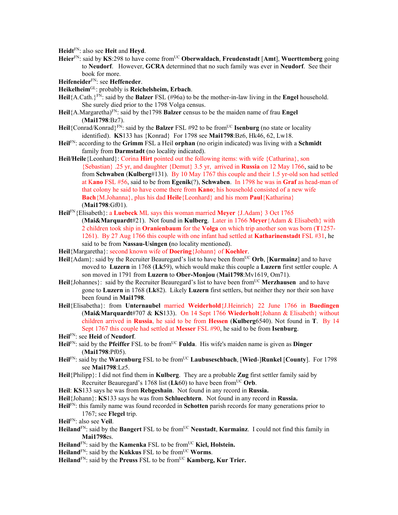**Heidt**FN: also see **Heit** and **Heyd**.

- Heier<sup>FN</sup>: said by KS:298 to have come from<sup>UC</sup> Oberwaldach, Freudenstadt [Amt], Wuerttemberg going to **Neudorf**. However, **GCRA** determined that no such family was ever in **Neudorf**. See their book for more.
- **Heifeneider**FN: see **Heffeneder**.
- **Heikelheim**GL: probably is **Reichelsheim, Erbach**.
- **Heil**{A.Cath.}FN: said by the **Balzer** FSL (#96a) to be the mother-in-law living in the **Engel** household. She surely died prior to the 1798 Volga census.
- **Heil**{A.Margaretha)FN: said by the1798 **Balzer** census to be the maiden name of frau **Engel** (**Mai1798**:Bz7).
- Heil<sup>{Conrad/Konrad}<sup>FN:</sup> said by the **Balzer** FSL #92 to be from<sup>UC</sup> **Isenburg** (no state or locality</sup> identified). **KS**133 has {Konrad} For 1798 see **Mai1798**:Bz6, Hk46, 62, Lw18.
- **Heil**FN: according to the **Grimm** FSL a Heil **orphan** (no origin indicated) was living with a **Schmidt** family from **Darmstadt** (no locality indicated).
- **Heil/Heile**{Leonhard}: Corina **Hirt** pointed out the following items: with wife {Catharina}, son {Sebastian} .25 yr, and daughter {Demut} 3.5 yr, arrived in **Russia** on 12 May 1766, said to be from **Schwaben** (**Kulberg**#131). By 10 May 1767 this couple and their 1.5 yr-old son had settled at K**ano** FSL #56, said to be from **Egenik**(?), **Schwaben**. In 1798 he was in **Graf** as head-man of that colony he said to have come there from **Kano**; his household consisted of a new wife **Bach**{M.Johanna}, plus his dad **Heile**{Leonhard} and his mom **Paul**{Katharina} (**Mai1798**:Gf01).
- **Heil**FN{Elisabeth}: a **Luebeck** ML says this woman married **Meyer** {J.Adam} 3 Oct 1765 (**Mai&Marquardt**#21). Not found in **Kulberg**. Later in 1766 **Meyer**{Adam & Elisabeth} with 2 children took ship in **Oranienbaum** for the **Volga** on which trip another son was born (**T**1257- 1261). By 27 Aug 1766 this couple with one infant had settled at **Katharinenstadt** FSL #31, he said to be from **Nassau-Usingen (**no locality mentioned).
- **Heil**{Margaretha}: second known wife of **Doering**{Johann} of **Koehler**.
- **Heil**{Adam}: said by the Recruiter Beauregard's list to have been from<sup>UC</sup> Orb, [**Kurmainz**] and to have moved to **Luzern** in 1768 (**Lk**59), which would make this couple a **Luzern** first settler couple. A son moved in 1791 from **Luzern** to **Ober-Monjou** (**Mai1798**:Mv1619, Om71).
- Heil {Johannes}: said by the Recruiter Beauregard's list to have been from<sup>UC</sup> Merzhausen and to have gone to **Luzern** in 1768 (**Lk**82). Likely **Luzern** first settlers, but neither they nor their son have been found in **Mai1798**.
- **Heil**{Elisabetha}: from **Unternaubel** married **Weiderhold**{J.Heinrich} 22 June 1766 in **Buedingen**  (**Mai&Marquardt**#707 & **KS**133). On 14 Sept 1766 **Wiederholt**{Johann & Elisabeth} without children arrived in **Russia**, he said to be from **Hessen** (**Kulberg**6540). Not found in **T**. By 14 Sept 1767 this couple had settled at **Messer** FSL #90, he said to be from **Isenburg**.
- **Heil**FN: see **Heid** of **Neudorf**.
- Heil<sup>FN</sup>: said by the **Pfeiffer** FSL to be from<sup>UC</sup> **Fulda**. His wife's maiden name is given as **Dinger** (**Mai1798**:Pf05).
- **Heil**<sup>FN</sup>: said by the **Warenburg** FSL to be from<sup>UC</sup> **Laubuseschbach**, [Wied-]Runkel [County]. For 1798 see **Mai1798**:Lz5.
- **Heil**{Philipp}: I did not find them in **Kulberg**. They are a probable **Zug** first settler family said by Recruiter Beauregard's 1768 list  $(Lk60)$  to have been from<sup>UC</sup> Orb.
- **Heil**: **KS**133 says he was from **Rebgeshain**. Not found in any record in **Russia.**
- **Heil**{Johann}: **KS**133 says he was from **Schluechtern**. Not found in any record in **Russia.**
- **Heil**FN: this family name was found recorded in **Schotten** parish records for many generations prior to 1767; see **Flegel** trip.
- **Heil**FN: also see **Veil**.
- Heiland<sup>FN</sup>: said by the Bangert FSL to be from<sup>UC</sup> Neustadt, Kurmainz. I could not find this family in **Mai1798**es.
- **Heiland**<sup>FN</sup>: said by the **Kamenka** FSL to be from<sup>UC</sup> **Kiel, Holstein.**
- **Heiland**<sup>FN</sup>: said by the **Kukkus** FSL to be from<sup>UC</sup> **Worms**.
- Heiland<sup>FN</sup>: said by the Preuss FSL to be from<sup>UC</sup> **Kamberg, Kur Trier.**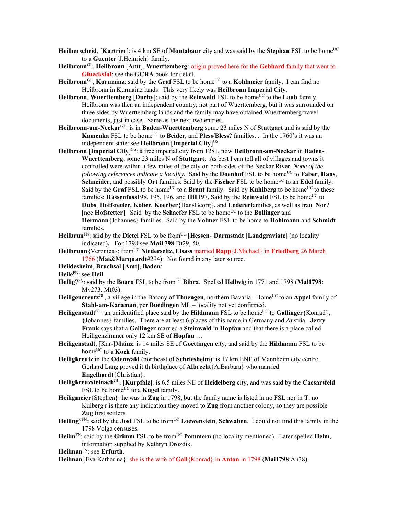- **Heilberscheid, [Kurtrier]:** is 4 km SE of **Montabaur** city and was said by the **Stephan** FSL to be home<sup>UC</sup> to a **Guenter**{J.Heinrich} family.
- **Heilbronn**GL, **Heilbronn** [**Amt**], **Wuerttemberg**: origin proved here for the **Gebhard** family that went to **Glueckstal**; see the **GCRA** book for detail.
- **Heilbronn**<sup>GL</sup>, **Kurmainz**: said by the **Graf** FSL to be home<sup>UC</sup> to a **Kohlmeier** family. I can find no Heilbronn in Kurmainz lands. This very likely was **Heilbronn Imperial City**.
- **Heilbronn, Wuerttemberg [Duchy]:** said by the **Reinwald** FSL to be home<sup>UC</sup> to the **Laub** family. Heilbronn was then an independent country, not part of Wuerttemberg, but it was surrounded on three sides by Wuerttemberg lands and the family may have obtained Wuerttemberg travel documents, just in case. Same as the next two entries.
- **Heilbronn-am-Neckar**GL: is in **Baden-Wuerttemberg** some 23 miles N of **Stuttgart** and is said by the **Kamenka** FSL to be home<sup>UC</sup> to **Beider**, and **Pless**/Bless? families. . In the 1760's it was an independent state: see **Heilbronn** [**Imperial City**] GS.
- Heilbronn [Imperial City]<sup>GS</sup>: a free imperial city from 1281, now Heilbronn-am-Neckar in Baden-**Wuerttemberg**, some 23 miles N of **Stuttgart**. As best I can tell all of villages and towns it controlled were within a few miles of the city on both sides of the Neckar River. *None of the following references indicate a locality.* Said by the **Doenhof** FSL to be home<sup>UC</sup> to **Faber**, **Hans**, **Schneider**, and possibly **Ort** families. Said by the **Fischer** FSL to be home<sup>UC</sup> to an **Edel** family. Said by the **Graf** FSL to be home<sup>UC</sup> to a **Brant** family. Said by **Kuhlberg** to be home<sup>UC</sup> to these families: **Hassenfuss**198, 195, 196, and **Hill**197, Said by the **Reinwald** FSL to be home<sup>UC</sup> to **Dubs**, **Hoffstetter**, **Kober**, **Koerber**{HansGeorg}, and **Lederer**families, as well as frau **Nor**? [nee **Hofstetter**]. Said by the **Schaefer** FSL to be home<sup>UC</sup> to the **Bollinger** and **Hermann**{Johannes} families. Said by the **Volmer** FSL to be home to **Hohlmann** and **Schmidt** families.
- **Heilbrun**<sup>FN</sup>: said by the **Dietel** FSL to be from<sup>UC</sup> [Hessen-]Darmstadt [Landgraviate] (no locality indicated)**.** For 1798 see **Mai1798**:Dt29, 50.
- **Heilbrunn**{Veronica}: fromUC **Niederseltz, Elsass** married **Rapp**{J.Michael} in **Friedberg** 26 March 1766 (**Mai&Marquardt**#294). Not found in any later source.
- **Heildesheim**, **Bruchsal** [**Amt**], **Baden**:

**Heile**FN: see **Heil**.

- Heilig?<sup>FN</sup>: said by the **Boaro** FSL to be from<sup>UC</sup> Bibra. Spelled Hellwig in 1771 and 1798 (Mai1798: Mv273, Mt03).
- Heiligencreutz<sup>GL</sup>, a village in the Barony of Thuengen, northern Bavaria. Home<sup>UC</sup> to an Appel family of **Stahl-am-Karaman**, per **Buedingen** ML – locality not yet confirmed.
- Heiligenstadt<sup>GL</sup>: an unidentified place said by the Hildmann FSL to be home<sup>UC</sup> to **Gallinger**{Konrad}, {Johannes} families. There are at least 6 places of this name in Germany and Austria. **Jerry Frank** says that a **Gallinger** married a **Steinwald** in **Hopfau** and that there is a place called Heiligenzimmer only 12 km SE of **Hopfau** …
- **Heiligenstadt**, [Kur-]**Mainz**: is 14 miles SE of **Goettingen** city, and said by the **Hildmann** FSL to be home<sup>UC</sup> to a **Koch** family.
- **Heiligkreutz** in the **Odenwald** (northeast of **Schriesheim**): is 17 km ENE of Mannheim city centre. Gerhard Lang proved it th birthplace of **Albrecht**{A.Barbara} who married **Engelhardt**{Christian}.
- **Heiligkreuzsteinach**GL, [**Kurpfalz**]: is 6.5 miles NE of **Heidelberg** city, and was said by the **Caesarsfeld** FSL to be home<sup>UC</sup> to a **Kugel** family.
- **Heiligmeier**{Stephen}: he was in **Zug** in 1798, but the family name is listed in no FSL nor in **T**, no Kulberg r is there any indication they moved to **Zug** from another colony, so they are possible **Zug** first settlers.
- Heiling?<sup>FN</sup>: said by the **Jost** FSL to be from<sup>UC</sup> **Loewenstein**, **Schwaben**. I could not find this family in the 1798 Volga censuses.
- Heilm<sup>FN</sup>: said by the Grimm FSL to be from<sup>UC</sup> Pommern (no locality mentioned). Later spelled Helm, information supplied by Kathryn Drozdik.

**Heilman**FN: see **Erfurth**.

**Heilman**{Eva Katharina}: she is the wife of **Gall**{Konrad} in **Anton** in 1798 (**Mai1798**:An38).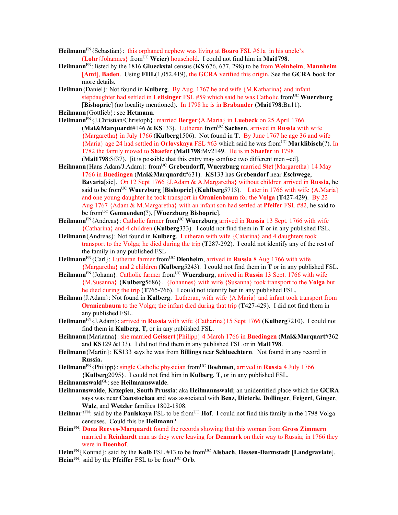- **Heilmann**FN{Sebastian}: this orphaned nephew was living at **Boaro** FSL #61a in his uncle's (**Lohr**{Johannes} from<sup>UC</sup> Weier) household. I could not find him in Mai1798.
- **Heilmann**FN: listed by the 1816 **Glueckstal** census (**KS**:676, 677, 298) to be from **Weinheim**, **Mannheim** [**Amt**], **Baden**. Using **FHL**(1,052,419), the **GCRA** verified this origin. See the **GCRA** book for more details.
- **Heilman**{Daniel}: Not found in **Kulberg**. By Aug. 1767 he and wife {M.Katharina} and infant stepdaughter had settled in Leitsinger FSL #59 which said he was Catholic from<sup>UC</sup> Wuerzburg [**Bishopric**] (no locality mentioned). In 1798 he is in **Brabander** (**Mai1798**:Bn11).

**Heilmann**{Gottlieb}: see **Hetmann**.

- **Heilmann**FN{J.Christian/Christoph}: married **Berger**{A.Maria} in **Luebeck** on 25 April 1766 (**Mai&Marquardt**#146 & **KS**133). Lutheran fromUC **Sachsen**, arrived in **Russia** with wife {Margaretha} in July 1766 (**Kulberg**1506). Not found in **T**. By June 1767 he age 36 and wife {Maria} age 24 had settled in **Orlovskaya** FSL #63 which said he was fromUC **Marklibisch**(?). In 1782 the family moved to **Shaefer** (**Mai1798**:Mv2149. He is in **Shaefer** in 1798 (**Mai1798**:Sf37). [it is possible that this entry may confuse two different men –ed].
- **Heilmann**{Hans Adam/J.Adam}: fromUC **Grebendorff, Wuerzburg** married **Stet**{Margaretha} 14 May 1766 in **Buedingen** (**Mai&Marquardt**#631). **KS**133 has **Grebendorf** near **Eschwege**, **Bavaria**[sic]. On 12 Sept 1766 {J.Adam & A.Margaretha} without children arrived in **Russia**, he said to be from<sup>UC</sup> **Wuerzburg [Bishopric] (Kuhlberg**5713). Later in 1766 with wife {A.Maria} and one young daughter he took transport in **Oranienbaum** for the **Volga** (**T**427-429). By 22 Aug 1767 {Adam & M.Margaretha} with an infant son had settled at **Pfeifer** FSL #82, he said to be fromUC **Gemuenden(**?), [**Wuerzburg Bishopric**].
- Heilmann<sup>FN</sup>{Andreas}: Catholic farmer from<sup>UC</sup> Wuerzburg arrived in Russia 13 Sept. 1766 with wife {Catharina} and 4 children (**Kulberg**333). I could not find them in **T** or in any published FSL.
- **Heilmann**{Andreas}: Not found in **Kulberg**. Lutheran with wife {Catarina} and 4 daughters took transport to the Volga; he died during the trip (**T**287-292). I could not identify any of the rest of the family in any published FSL
- Heilmann<sup>FN</sup>{Carl}: Lutheran farmer from<sup>UC</sup> Dienheim, arrived in Russia 8 Aug 1766 with wife {Margaretha} and 2 children (**Kulberg**5243). I could not find them in **T** or in any published FSL.
- Heilmann<sup>FN</sup>{Johann}: Catholic farmer from<sup>UC</sup> Wuerzburg, arrived in Russia 13 Sept. 1766 with wife {M.Susanna} {**Kulberg**5686}. {Johannes} with wife {Susanna} took transport to the **Volga** but he died during the trip (**T**765-766). I could not identify her in any published FSL.
- **Heilman**{J.Adam}: Not found in **Kulberg**. Lutheran, with wife {A.Maria} and infant took transport from **Oranienbaum** to the Volga; the infant died during that trip (**T**427-429). I did not find them in any published FSL.
- **Heilmann**FN{J.Adam}: arrived in **Russia** with wife {Catharina}15 Sept 1766 (**Kulberg**7210). I could not find them in **Kulberg**, **T**, or in any published FSL.
- **Heilmann**{Marianna}: she married **Geissert**{Philipp} 4 March 1766 in **Buedingen** (**Mai&Marquart**#362 and **KS**129 &133). I did not find them in any published FSL or in **Mai1798**.
- **Heilmann**{Martin}: **KS**133 says he was from **Billings** near **Schluechtern**. Not found in any record in **Russia.**
- **Heilmann**FN{Philipp}: single Catholic physician fromUC **Boehmen**, arrived in **Russia** 4 July 1766 {**Kulberg**2095}. I could not find him in **Kulberg**, **T**, or in any published FSL.
- **Heilmannswald**GL: see **Heilmannswalde**.
- **Heilmannswalde**, **Krzepien**, **South Prussia**: aka **Heilmannswald**; an unidentified place which the **GCRA** says was near **Czenstochau** and was associated with **Benz**, **Dieterle**, **Dollinger**, **Feigert**, **Ginger**, **Walz**, and **Wetzler** families 1802-1808.
- **Heilmar**?<sup>FN</sup>: said by the **Paulskaya** FSL to be from<sup>UC</sup> **Hof**. I could not find this family in the 1798 Volga censuses. Could this be **Heilmann**?
- **Heim**FN: **Dona Reeves-Marquardt** found the records showing that this woman from **Gross Zimmern**  married a **Reinhardt** man as they were leaving for **Denmark** on their way to Russia; in 1766 they were in **Doenhof**.
- **Heim**<sup>FN</sup>{Konrad}: said by the **Kolb** FSL #13 to be from<sup>UC</sup> Alsbach, Hessen-Darmstadt [Landgraviate]. **Heim**FN: said by the **Pfeiffer** FSL to be fromUC **Orb**.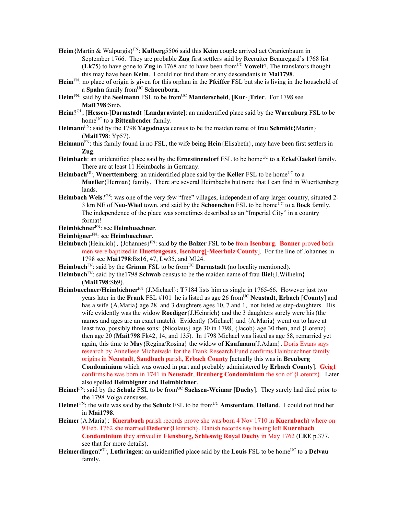- **Heim**{Martin & Walpurgis}FN: **Kulberg**5506 said this **Keim** couple arrived aet Oranienbaum in September 1766. They are probable **Zug** first settlers said by Recruiter Beauregard's 1768 list (**Lk**75) to have gone to **Zug** in 1768 and to have been fromUC **Vowelt**?. The translators thought this may have been **Keim**. I could not find them or any descendants in **Mai1798**.
- **Heim**FN: no place of origin is given for this orphan in the **Pfeiffer** FSL but she is living in the household of a **Spahn** family fromUC **Schoenborn**.
- Heim<sup>FN</sup>: said by the **Seelmann** FSL to be from<sup>UC</sup> **Manderscheid**, [**Kur-**]Trier. For 1798 see **Mai1798**:Sm6.
- **Heim**?GL, [**Hessen**-]**Darmstadt** [**Landgraviate**]: an unidentified place said by the **Warenburg** FSL to be home<sup>UC</sup> to a **Bittenbender** family.
- **Heimann**FN: said by the 1798 **Yagodnaya** census to be the maiden name of frau **Schmidt**{Martin} (**Mai1798**: Yp57).
- **Heimann**FN: this family found in no FSL, the wife being **Hein**{Elisabeth}, may have been first settlers in **Zug**.
- Heimbach: an unidentified place said by the **Ernestinendorf** FSL to be home<sup>UC</sup> to a **Eckel/Jaekel** family. There are at least 11 Heimbachs in Germany.
- Heimbach<sup>GL</sup>, Wuerttemberg: an unidentified place said by the Keller FSL to be home<sup>UC</sup> to a **Mueller**{Herman} family. There are several Heimbachs but none that I can find in Wuerttemberg lands.
- **Heimbach Weis**?<sup>GS</sup>: was one of the very few "free" villages, independent of any larger country, situated 2-3 km NE of **Neu-Wied** town, and said by the **Schoenchen** FSL to be home<sup>UC</sup> to a **Bock** family. The independence of the place was sometimes described as an "Imperial City" in a country format!

**Heimbichner**FN: see **Heimbuechner**.

**Heimbigner**FN: see **Heimbuechner**.

- Heimbuch {Heinrich}, {Johannes}<sup>FN</sup>: said by the **Balzer** FSL to be from **Isenburg**. **Bonner** proved both men were baptized in **Huettengesas**, **Isenburg**[**-Meerholz County**]. For the line of Johannes in 1798 see **Mai1798**:Bz16, 47, Lw35, and Ml24.
- **Heimbuch**<sup>FN</sup>: said by the **Grimm** FSL to be from<sup>UC</sup> **Darmstadt** (no locality mentioned).

**Heimbuch**<sup>FN</sup>: said by the 1798 **Schwab** census to be the maiden name of frau **Biel**{J.Wilhelm} (**Mai1798**:Sb9).

- **Heimbuechner/Heimbichner**FN {J.Michael}: **T**7184 lists him as single in 1765-66. However just two years later in the **Frank** FSL #101 he is listed as age 26 fromUC **Neustadt, Erbach** [**County**] and has a wife {A.Maria} age 28 and 3 daughters ages 10, 7 and 1, not listed as step-daughters. His wife evidently was the widow **Roediger**{J.Heinrich} and the 3 daughters surely were his (the names and ages are an exact match). Evidently {Michael} and {A.Maria} wemt on to have at least two, possibly three sons: {Nicolaus} age 30 in 1798, {Jacob} age 30 then, and {Lorenz} then age 20 (**Mai1798**:Fk42, 14, and 135). In 1798 Michael was listed as age 58, remarried yet again, this time to **May**{Regina/Rosina} the widow of **Kaufmann**[J.Adam}. Doris Evans says research by Anneliese Micheiwski for the Frank Research Fund confirms Hainbuechner family origins in **Neustadt**, **Sandbach** parish, **Erbach County** [actually this was in **Breuberg Condominium** which was owned in part and probably administered by **Erbach County**]. **Geig1** confirms he was born in 1741 in **Neustadt**, **Breuberg Condominium** the son of {Lorentz}. Later also spelled **Heimbigner** and **Heimbichner**.
- **Heimel**FN: said by the **Schulz** FSL to be fromUC **Sachsen-Weimar** [**Duchy**].They surely had died prior to the 1798 Volga censuses.
- **Heimel** FN: the wife was said by the **Schulz** FSL to be fromUC **Amsterdam**, **Holland**. I could not find her in **Mai1798**.
- **Heimer**{A.Maria}: **Kuernbach** parish records prove she was born 4 Nov 1710 in **Kuernbach**) where on 9 Feb. 1762 she married **Dederer**{Heinrich}. Danish records say having left **Kuernbach Condominium** they arrived in **Flensburg, Schleswig Royal Duchy** in May 1762 (**EEE** p.377, see that for more details).
- Heimerdingen?<sup>GL</sup>, Lothringen: an unidentified place said by the Louis FSL to be home<sup>UC</sup> to a Delvau family.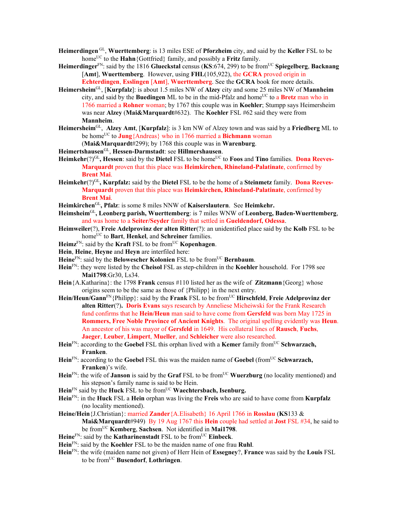- **Heimerdingen** GL, **Wuerttemberg**: is 13 miles ESE of **Pforzheim** city, and said by the **Keller** FSL to be home<sup>UC</sup> to the **Hahn**{Gottfried} family, and possibly a **Fritz** family.
- **Heimerdinger**FN: said by the 1816 **Glueckstal** census (**KS**:674, 299) to be fromUC **Spiegelberg**, **Backnang** [**Amt**], **Wuerttemberg**. However, using **FHL**(105,922), the **GCRA** proved origin in **Echterdingen**, **Esslingen** [**Amt**], **Wuerttemberg**. See the **GCRA** book for more details.
- **Heimersheim**GL, [**Kurpfalz**]: is about 1.5 miles NW of **Alzey** city and some 25 miles NW of **Mannheim** city, and said by the **Buedingen** ML to be in the mid-Pfalz and home<sup>UC</sup> to a **Bretz** man who in 1766 married a **Rohner** woman; by 1767 this couple was in **Koehler**; Stumpp says Heimersheim was near **Alzey** (**Mai&Marquardt**#632). The **Koehler** FSL #62 said they were from **Mannheim**.
- **Heimersheim**GL, **Alzey Amt**, [**Kurpfalz**]: is 3 km NW of Alzey town and was said by a **Friedberg** ML to be home<sup>UC</sup> to **Jung**{Andreas} who in 1766 married a **Bichmann** woman (**Mai&Marquardt**#299); by 1768 this couple was in **Warenburg**.
- **Heimertshausen**GL, **Hessen-Darmstadt**: see **Hillmershausen**.
- Heimkehr(?)<sup>GL</sup>, Hessen: said by the Dietel FSL to be home<sup>UC</sup> to Foos and Tino families. Dona Reeves-**Marquardt** proven that this place was **Heimkirchen, Rhineland-Palatinate**, confirmed by **Brent Mai**.
- **Heimkehr**(?)GL**, Kurpfalz:** said by the **Dietel** FSL to be the home of a **Steinmetz** family. **Dona Reeves-Marquardt** proven that this place was **Heimkirchen, Rhineland-Palatinate**, confirmed by **Brent Mai**.
- **Heimkirchen**GL**, Pfalz**: is some 8 miles NNW of **Kaiserslautern**. See **Heimkehr.**
- **Heimsheim**GL**, Leonberg parish, Wuerttemberg**: is 7 miles WNW of **Leonberg, Baden-Wuerttemberg**, and was home to a **Seiter/Seyder** family that settled in **Gueldendorf, Odessa**.
- **Heimweiler**(?), **Freie Adelprovinz der alten Ritter**(?): an unidentified place said by the **Kolb** FSL to be home<sup>UC</sup> to **Bart**, **Henkel**, and **Schreiner** families.
- **Heimz**<sup>FN</sup>: said by the **Kraft** FSL to be from<sup>UC</sup> **Kopenhagen**.
- **Hein**, **Heine**, **Heyne** and **Heyn** are interfiled here:
- Heine<sup>FN</sup>: said by the **Belowescher Kolonien** FSL to be from<sup>UC</sup> **Bernbaum**.
- **Hein**FN: they were listed by the **Cheisol** FSL as step-children in the **Koehler** household. For 1798 see **Mai1798**:Gr30, Ls34.
- **Hein**{A.Katharina}: the 1798 **Frank** census #110 listed her as the wife of **Zitzmann**{Georg} whose origins seem to be the same as those of {Philipp} in the next entry.
- **Hein/Heun/Gann**FN{Philipp}: said by the **Frank** FSL to be fromUC **Hirschfeld**, **Freie Adelprovinz der alten Ritter**(?)**. Doris Evans** says research by Anneliese Micheiwski for the Frank Research fund confirms that he **Hein/Heun** man said to have come from **Gersfeld** was born May 1725 in **Rommers, Free Noble Province of Ancient Knights**. The original spelling evidently was **Heun**. An ancestor of his was mayor of **Gersfeld** in 1649. His collateral lines of **Rausch**, **Fuchs**, **Jaeger**, **Leuber**, **Limpert**, **Mueller**, and **Schleicher** were also researched.
- **Hein**<sup>FN</sup>: according to the **Goebel** FSL this orphan lived with a **Kemer** family from<sup>UC</sup> **Schwarzach, Franken**.
- **Hein**<sup>FN</sup>: according to the **Goebel** FSL this was the maiden name of **Goebel** (from<sup>UC</sup> **Schwarzach, Franken**)'s wife.
- **Hein**<sup>FN</sup>: the wife of **Janson** is said by the **Graf** FSL to be from<sup>UC</sup> **Wuerzburg** (no locality mentioned) and his stepson's family name is said to be Hein.
- Hein<sup>FN</sup> said by the Huck FSL to be from<sup>UC</sup> Waechtersbach, Isenburg.
- **Hein**FN: in the **Huck** FSL a **Hein** orphan was living the **Freis** who are said to have come from **Kurpfalz**  (no locality mentioned).
- **Heine/Hein**{J.Christian}: married **Zander**{A.Elisabeth} 16 April 1766 in **Rosslau** (**KS**133 & **Mai&Marquardt**#949) By 19 Aug 1767 this **Hein** couple had settled at **Jost** FSL #34, he said to be fromUC **Kemberg**, **Sachsen**. Not identified in **Mai1798**.
- **Heine**FN: said by the **Katharinenstadt** FSL to be fromUC **Einbeck**.
- **Hein**FN: said by the **Koehler** FSL to be the maiden name of one frau **Ruhl**.
- **Hein**FN: the wife (maiden name not given) of Herr Hein of **Essegney**?, **France** was said by the **Louis** FSL to be fromUC **Busendorf**, **Lothringen**.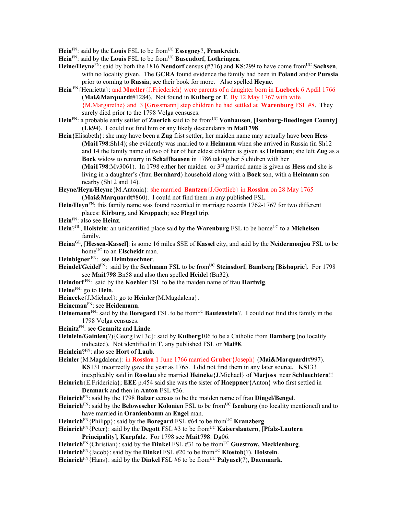**Hein**FN: said by the **Louis** FSL to be fromUC **Essegney**?, **Frankreich**.

**Hein**FN: said by the **Louis** FSL to be fromUC **Busendorf**, **Lothringen**.

- **Heine/Heyne**FN: said by both the 1816 **Neudorf** census (#716) and **KS**:299 to have come fromUC **Sachsen**, with no locality given. The **GCRA** found evidence the family had been in **Poland** and/or **Purssia**  prior to coming to **Russia**; see their book for more. Also spelled **Heyne**.
- **Hein** FN{Henrietta}: and **Mueller**{J.Friederich} were parents of a daughter born in **Luebeck** 6 Apdil 1766 (**Mai&Marquardt**#1284). Not found in **Kulberg** or **T**. B**y** 12 May 1767 with wife {M.Margarethe} and 3 [Grossmann] step children he had settled at **Warenburg** FSL #8. They surely died prior to the 1798 Volga censuses.
- **Hein**FN: a probable early settler of **Zuerich** said to be fromUC **Vonhausen**, [**Isenburg-Buedingen County**] (**Lk**94). I could not find him or any likely descendants in **Mai1798**.

**Hein**{Elisabeth}: she may have been a **Zug** frist settler; her maiden name may actually have been **Hess** (**Mai1798**:Sh14); she evidently was married to a **Heimann** when she arrived in Russia (in Sh12 and 14 the family name of two of her of her eldest children is given as **Heimann**; she left **Zug** as a **Bock** widow to remarry in **Schaffhausen** in 1786 taking her 5 chidren with her (**Mai1798**:Mv3061). In 1798 either her maiden or 3rd married name is given as **Hess** and she is living in a daughter's (frau **Bernhard**) household along with a **Bock** son, with a **Heimann** son nearby (Sh12 and 14).

- **Heyne/Heyn/Heyne**{M.Antonia}: she married **Bantzen**{J.Gottlieb} in **Rosslau** on 28 May 1765 (**Mai&Marquardt**#860). I could not find them in any published FSL.
- **Hein/Heyn**FN: this family name was found recorded in marriage records 1762-1767 for two different places: **Kirburg**, and **Kroppach**; see **Flegel** trip.

- Hein<sup>?GL</sup>, Holstein: an unidentified place said by the **Warenburg** FSL to be home<sup>UC</sup> to a Michelsen family.
- **Heina**GL, [**Hessen-Kassel**]: is some 16 miles SSE of **Kassel** city, and said by the **Neidermonjou** FSL to be home<sup>UC</sup> to an **Elscheidt** man.

**Heinbigner** FN: see **Heimbuechner**.

- **Heindel/Geidel**<sup>FN</sup>: said by the **Seelmann** FSL to be from<sup>UC</sup> **Steinsdorf**, **Bamberg** [Bishopric]. For 1798 see **Mai1798**:Bn58 and also then spelled **Heide**l (Bn32).
- **Heindorf** FN: said by the **Koehler** FSL to be the maiden name of frau **Hartwig**.
- **Heine**FN: go to **Hein**.
- **Heinecke**{J.Michael}: go to **Heinler**{M.Magdalena}.

**Heineman**FN: see **Heidemann**.

**Heinemann**<sup>FN</sup>: said by the **Boregard** FSL to be from<sup>UC</sup> **Bautenstein**?. I could not find this family in the 1798 Volga censuses.

**Heinitz**FN: see **Gemnitz** and **Linde**.

**Heinlein/Gainlen**(?){Georg+w+3c}: said by **Kulberg**106 to be a Catholic from **Bamberg** (no locality indicated). Not identified in **T**, any published FSL or **Mai98**.

- **Heinlein**?FN: also see **Hort** of **Laub**.
- **Heinler**{M.Magdalena}: in **Rosslau** 1 June 1766 married **Gruber**{Joseph} (**Mai&Marquardt**#997). **KS**131 incorrectly gave the year as 1765. I did not find them in any later source. **KS**133 inexplicably said in **Rosslau** she married **Heineke**{J.Michael} of **Marjoss** near **Schluechtern**!!

**Heinrich**{E.Fridericia}; **EEE** p.454 said she was the sister of **Haeppner**{Anton} who first settled in **Denmark** and then in **Anton** FSL #36.

- **Heinrich**FN: said by the 1798 **Balzer** census to be the maiden name of frau **Dingel/Bengel**.
- **Heinrich**FN: said by the **Belowescher Kolonien** FSL to be fromUC **Isenburg** (no locality mentioned) and to have married in **Oranienbaum** an **Engel** man.
- **Heinrich**<sup>FN</sup>{Philipp}: said by the **Boregard** FSL #64 to be from<sup>UC</sup> **Kranzberg**.
- **Heinrich**FN{Peter}: said by the **Degott** FSL #3 to be fromUC **Kaiserslautern**, [**Pfalz-Lautern Principality**], **Kurpfalz**. For 1798 see **Mai1798**: Dg06.
- **Heinrich**FN{Christian}: said by the **Dinkel** FSL #31 to be fromUC **Guestrow, Mecklenburg**.
- **Heinrich**<sup>FN</sup>{Jacob}: said by the **Dinkel** FSL #20 to be from<sup>UC</sup> **Klostob**(?), **Holstein**.
- **Heinrich**FN{Hans}: said by the **Dinkel** FSL #6 to be fromUC **Palyusel**(?), **Daenmark**.

**Hein**FN: also see **Heinz**.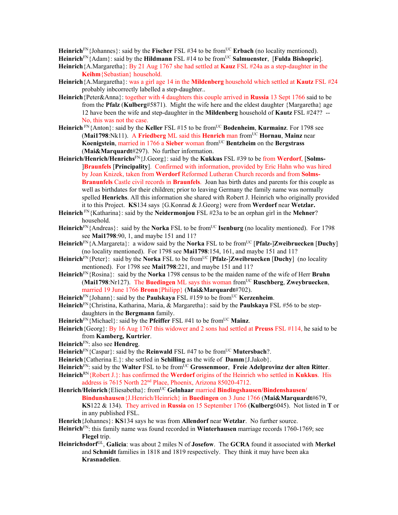Heinrich<sup>FN</sup>{Johannes}: said by the **Fischer** FSL #34 to be from<sup>UC</sup> **Erbach** (no locality mentioned). **Heinrich**FN{Adam}: said by the **Hildmann** FSL #14 to be fromUC **Salmuenster**, [**Fulda Bishopric**].

- **Heinrich**{A.Margaretha}: By 21 Aug 1767 she had settled at **Kauz** FSL #24a as a step-daughter in the **Keihm**{Sebastian} household.
- **Heinrich**{A.Margaretha}: was a girl age 14 in the **Mildenberg** household which settled at **Kautz** FSL #24 probably inbcorrectly labelled a step-daughter..
- **Heinrich**{Peter&Anna}: together with 4 daughters this couple arrived in **Russia** 13 Sept 1766 said to be from the **Pfalz** (**Kulberg**#5871). Might the wife here and the eldest daughter {Margaretha} age 12 have been the wife and step-daughter in the **Mildenberg** household of **Kautz** FSL #24?? -- No, this was not the case.
- **Heinrich** FN{Anton}: said by the **Keller** FSL #15 to be from<sup>UC</sup> **Bodenheim**, **Kurmainz**. For 1798 see (**Mai1798**:Nk11). A **Friedberg** ML said this **Henrich** man fromUC **Hornau**, **Mainz** near **Koenigstein**, married in 1766 a **Sieber** woman fromUC **Bentzheim** on the **Bergstrass** (**Mai&Marquardt**#297). No further information.
- **Heinrich/Henrich/Henrichs**FN{J.Georg}: said by the **Kukkus** FSL #39 to be from **Werdorf**, [**Solms-** ]**Braunfels** [**Principality**]. Confirmed with information, provided by Eric Hahn who was hired by Joan Knizek, taken from **Werdorf** Reformed Lutheran Church records and from **Solms-Branunfels** Castle civil records in **Braunfels**. Joan has birth dates and parents for this couple as well as birthdates for their children; prior to leaving Germany the family name was normally spelled **Henrichs**. All this information she shared with Robert J. Heinrich who originally provided it to this Project. **KS**134 says {G.Konrad & J.Georg} were from **Werdorf** near **Wetzlar.**
- **Heinrich** FN{Katharina}: said by the **Neidermonjou** FSL #23a to be an orphan girl in the **Mehner**? household.
- **Heinrich**<sup>FN</sup>{Andreas}: said by the **Norka** FSL to be from<sup>UC</sup> **Isenburg** (no locality mentioned). For 1798 see **Mai1798**:90, 1, and maybe 151 and 11?
- **Heinrich**<sup>FN</sup>{A.Margareta}: a widow said by the **Norka** FSL to be from<sup>UC</sup> [**Pfalz-**]**Zweibruecken** [**Duchy**] (no locality mentioned). For 1798 see **Mai1798**:154, 161, and maybe 151 and 11?
- **Heinrich**FN{Peter}: said by the **Norka** FSL to be fromUC [**Pfalz-**]**Zweibruecken** [**Duchy**](no locality mentioned). For 1798 see **Mai1798**:221, and maybe 151 and 11?
- **Heinrich**FN{Rosina}: said by the **Norka** 1798 census to be the maiden name of the wife of Herr **Bruhn** (**Mai1798**:Nr127). The **Buedingen** ML says this woman fromUC **Ruschberg**, **Zweybruecken**, married 19 June 1766 **Bronn**{Philipp} (**Mai&Marquardt**#702).
- Heinrich<sup>FN</sup>{Johann}: said by the **Paulskaya** FSL #159 to be from<sup>UC</sup> **Kerzenheim**.
- **Heinrich**FN{Christina, Katharina, Maria, & Margaretha}: said by the **Paulskaya** FSL #56 to be stepdaughters in the **Bergmann** family.
- **Heinrich**<sup>FN</sup>{Michael}: said by the **Pfeiffer** FSL #41 to be from<sup>UC</sup> Mainz.
- **Heinrich**{Georg}: By 16 Aug 1767 this widower and 2 sons had settled at **Preuss** FSL #114, he said to be from **Kamberg, Kurtrier**.
- **Heinrich**FN: also see **Hendreg**.
- Heinrich<sup>FN</sup>{Caspar}: said by the **Reinwald** FSL #47 to be from<sup>UC</sup> Mutersbach?.
- **Heinrich**{Catherina E.}: she settled in **Schilling** as the wife of **Damm**{J.Jakob}.
- Heinrich<sup>FN</sup>: said by the Walter FSL to be from<sup>UC</sup> Grossenmoor, Freie Adelprovinz der alten Ritter.
- **Heinrich**RN{Robert J.}: has confirmed the **Werdorf** origins of the Heinrich who settled in **Kukkus**. His address is 7615 North 22nd Place, Phoenix, Arizona 85020-4712.
- Henrich/Heinrich {Eliesabetha}: from<sup>UC</sup> Gelnhaar married **Bindingshausen/Bindenshausen/ Bindunshausen**{J.Henrich/Heinrich} in **Buedingen** on 3 June 1766 (**Mai&Marquardt**#679, **KS**122 & 134). They arrived in **Russia** on 15 September 1766 (**Kulberg**6045). Not listed in **T** or in any published FSL.
- **Henrich**{Johannes}: **KS**134 says he was from **Allendorf** near **Wetzlar**. No further source.
- **Heinrich**FN: this family name was found recorded in **Winterhausen** marriage records 1760-1769; see **Flegel** trip.
- **Heinrichsdorf**GL, **Galicia**: was about 2 miles N of **Josefow**. The **GCRA** found it associated with **Merkel** and **Schmidt** families in 1818 and 1819 respectively. They think it may have been aka **Krasnadelien**.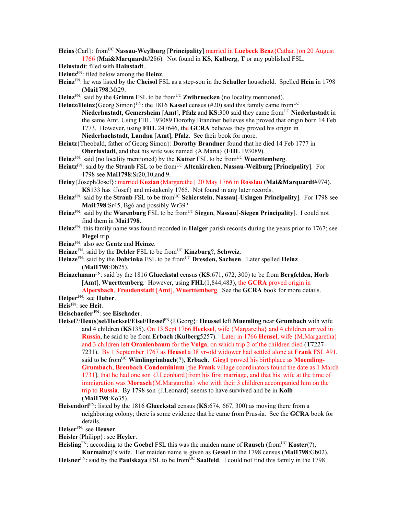**Heins**{Carl}: fromUC **Nassau-Weylburg** [**Principality**] married in **Luebeck Benz**{Cathar.}on 20 August 1766 (**Mai&Marquardt**#286). Not found in **KS**, **Kulberg**, **T** or any published FSL.

- **Heinstadt**: filed with **Hainstadt**..
- **Heintz**FN: filed below among the **Heinz**.
- **Heinz**FN: he was listed by the **Cheisol** FSL as a step-son in the **Schuller** household. Spelled **Hein** in 1798 (**Mai1798**:Mt29.
- **Heinz**<sup>FN</sup>: said by the **Grimm** FSL to be from<sup>UC</sup> **Zwibruecken** (no locality mentioned).
- **Heintz/Heinz** {Georg Simon}<sup>FN</sup>: the 1816 **Kassel** census (#20) said this family came from<sup>UC</sup> **Niederhustadt**, **Gemersheim** [**Amt**], **Pfalz** and **KS**:300 said they came fromUC **Niederlustadt** in the same Amt. Using FHL 193089 Dorothy Brandner believes she proved that origin born 14 Feb 1773. However, using **FHL** 247646, the **GCRA** believes they proved his origin in **Niederhochstadt**, **Landau** [**Amt**], **Pfalz**. See their book for more.
- **Heintz**{Theobald, father of Georg Simon}: **Dorothy Brandner** found that he died 14 Feb 1777 in **Oberlustadt**, and that his wife was named {A.Maria} (**FHL** 193089).
- Heinz<sup>FN</sup>: said (no locality mentioned) by the **Kutter** FSL to be from<sup>UC</sup> **Wuerttemberg**.
- **Heintz**FN: said by the **Straub** FSL to be fromUC **Altenkirchen**, **Nassau**-**Weilburg** [**Principality**]. For 1798 see **Mai1798**:Sr20,10,and 9.
- **Heiny**{Joseph/Josef}: married **Kozian**{Margarethe} 20 May 1766 in **Rosslau** (**Mai&Marquardt**#974). **KS**133 has {Josef} and mistakenly 1765. Not found in any later records.
- **Heinz**FN: said by the **Straub** FSL to be fromUC **Schierstein**, **Nassau**[-**Usingen Principality**]. For 1798 see **Mai1798**:Sr45, Bg6 and possibly Wr39?
- **Heinz**FN: said by the **Warenburg** FSL to be fromUC **Siegen**, **Nassau**[-**Siegen Principality**]. I could not find them in **Mai1798**.
- **Heinz**FN: this family name was found recorded in **Haiger** parish records during the years prior to 1767; see **Flegel** trip.
- **Heinz**FN: also see **Gentz** and **Heinze**.
- **Heinze**FN: said by the **Dehler** FSL to be fromUC **Kinzburg**?, **Schweiz**.
- **Heinze**FN: said by the **Dobrinka** FSL to be fromUC **Dresden, Sachsen**. Later spelled **Heinz** (**Mai1798**:Db25).
- **Heinzelmann**FN: said by the 1816 **Glueckstal** census (**KS**:671, 672, 300) to be from **Bergfelden**, **Horb** [**Amt**], **Wuerttemberg**. However, using **FHL**(1,844,483), the **GCRA** proved origin in
- **Alpersbach**, **Freudenstadt** [**Amt**], **Wuerttemberg**. See the **GCRA** book for more details. **Heiper**FN: see **Huber**.
- **Heis**FN: see **Heit**.
- 
- **Heischaeder** FN: see **Eischader**.
- **Heisel**?/**Heu**(**s**)**sel/Hecksel/Eisel/Hessel**FN{J.Georg}: **Heussel** left **Muemling** near **Grumbach** with wife and 4 children (**KS**135). On 13 Sept 1766 **Hecksel**, wife {Margaretha} and 4 children arrived in **Russia**, he said to be from **Erbach** (**Kulberg**5257). Later in 1766 **Heusel**, wife {M.Margaretha} and 3 children left **Oranienbaum** for the **Volga**, on which trip 2 of the children died (**T**7227- 7231). By 1 September 1767 as **Heusel** a 38 yr-old widower had settled alone at **Frank** FSL #91, said to be fromUC **Wimlingrimbach**(?), **Erbach**. **Gieg1** proved his birthplace as **Moemling-Grumbach**, **Breubach Condominium** [the **Frank** village coordinators found the date as 1 March 1731], that he had one son {J.Leonhard}from his first marriage, and that his wife at the time of immigration was **Morasch**{M.Margaretha} who with their 3 children accompanied him on the trip to **Russia**. By 1798 son {J.Leonard} seems to have survived and be in **Kolb** (**Mai1798**:Ko35).
- **Heisendorf**<sup>FN</sup>: listed by the 1816 **Glueckstal** census (**KS**:674, 667, 300) as moving there from a neighboring colony; there is some evidence that he came from Prussia. See the **GCRA** book for details.
- **Heiser**FN: see **Heuser**.
- **Heisler**{Philipp}: see **Heyler**.
- Heisling<sup>FN</sup>: according to the Goebel FSL this was the maiden name of **Rausch** (from<sup>UC</sup> Koster(?),
- **Kurmainz**)'s wife. Her maiden name is given as **Gessel** in the 1798 census (**Mai1798**:Gb02). Heisner<sup>FN</sup>: said by the **Paulskaya** FSL to be from<sup>UC</sup> Saalfeld. I could not find this family in the 1798